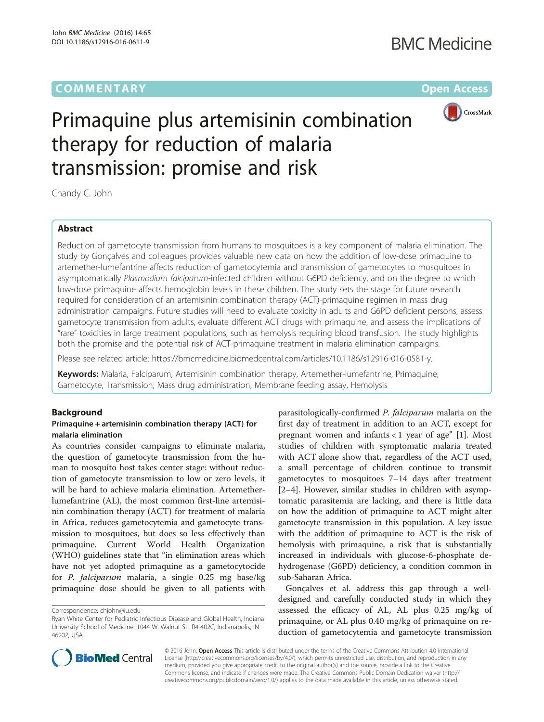## **COMMENTARY COMMENTARY Open Access**



# Primaquine plus artemisinin combination therapy for reduction of malaria transmission: promise and risk

Chandy C. John

## Abstract

Reduction of gametocyte transmission from humans to mosquitoes is a key component of malaria elimination. The study by Gonçalves and colleagues provides valuable new data on how the addition of low-dose primaquine to artemether-lumefantrine affects reduction of gametocytemia and transmission of gametocytes to mosquitoes in asymptomatically Plasmodium falciparum-infected children without G6PD deficiency, and on the degree to which low-dose primaquine affects hemoglobin levels in these children. The study sets the stage for future research required for consideration of an artemisinin combination therapy (ACT)-primaquine regimen in mass drug administration campaigns. Future studies will need to evaluate toxicity in adults and G6PD deficient persons, assess gametocyte transmission from adults, evaluate different ACT drugs with primaquine, and assess the implications of "rare" toxicities in large treatment populations, such as hemolysis requiring blood transfusion. The study highlights both the promise and the potential risk of ACT-primaquine treatment in malaria elimination campaigns.

Please see related article: [https://bmcmedicine.biomedcentral.com/articles/10.1186/s12916-016-0581-y.](https://bmcmedicine.biomedcentral.com/articles/10.1186/s12916-016-0581-y)

Keywords: Malaria, Falciparum, Artemisinin combination therapy, Artemether-lumefantrine, Primaquine, Gametocyte, Transmission, Mass drug administration, Membrane feeding assay, Hemolysis

### **Background**

#### Primaquine + artemisinin combination therapy (ACT) for malaria elimination

As countries consider campaigns to eliminate malaria, the question of gametocyte transmission from the human to mosquito host takes center stage: without reduction of gametocyte transmission to low or zero levels, it will be hard to achieve malaria elimination. Artemetherlumefantrine (AL), the most common first-line artemisinin combination therapy (ACT) for treatment of malaria in Africa, reduces gametocytemia and gametocyte transmission to mosquitoes, but does so less effectively than primaquine. Current World Health Organization (WHO) guidelines state that "in elimination areas which have not yet adopted primaquine as a gametocytocide for P. falciparum malaria, a single 0.25 mg base/kg primaquine dose should be given to all patients with

parasitologically-confirmed P. falciparum malaria on the first day of treatment in addition to an ACT, except for pregnant women and infants  $< 1$  year of age" [[1\]](#page-2-0). Most studies of children with symptomatic malaria treated with ACT alone show that, regardless of the ACT used, a small percentage of children continue to transmit gametocytes to mosquitoes 7–14 days after treatment [[2](#page-2-0)–[4\]](#page-2-0). However, similar studies in children with asymptomatic parasitemia are lacking, and there is little data on how the addition of primaquine to ACT might alter gametocyte transmission in this population. A key issue with the addition of primaquine to ACT is the risk of hemolysis with primaquine, a risk that is substantially increased in individuals with glucose-6-phosphate dehydrogenase (G6PD) deficiency, a condition common in sub-Saharan Africa.

Gonçalves et al. address this gap through a welldesigned and carefully conducted study in which they assessed the efficacy of AL, AL plus 0.25 mg/kg of primaquine, or AL plus 0.40 mg/kg of primaquine on reduction of gametocytemia and gametocyte transmission



© 2016 John. Open Access This article is distributed under the terms of the Creative Commons Attribution 4.0 International License ([http://creativecommons.org/licenses/by/4.0/\)](http://creativecommons.org/licenses/by/4.0/), which permits unrestricted use, distribution, and reproduction in any medium, provided you give appropriate credit to the original author(s) and the source, provide a link to the Creative Commons license, and indicate if changes were made. The Creative Commons Public Domain Dedication waiver ([http://](http://creativecommons.org/publicdomain/zero/1.0/) [creativecommons.org/publicdomain/zero/1.0/\)](http://creativecommons.org/publicdomain/zero/1.0/) applies to the data made available in this article, unless otherwise stated.

Correspondence: [chjohn@iu.edu](mailto:chjohn@iu.edu)

Ryan White Center for Pediatric Infectious Disease and Global Health, Indiana University School of Medicine, 1044 W. Walnut St., R4 402C, Indianapolis, IN 46202, USA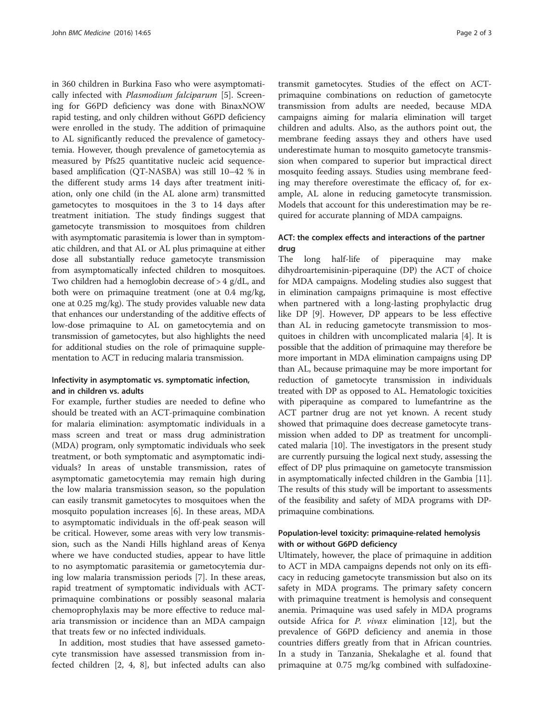in 360 children in Burkina Faso who were asymptomatically infected with Plasmodium falciparum [\[5](#page-2-0)]. Screening for G6PD deficiency was done with BinaxNOW rapid testing, and only children without G6PD deficiency were enrolled in the study. The addition of primaquine to AL significantly reduced the prevalence of gametocytemia. However, though prevalence of gametocytemia as measured by Pfs25 quantitative nucleic acid sequencebased amplification (QT-NASBA) was still 10–42 % in the different study arms 14 days after treatment initiation, only one child (in the AL alone arm) transmitted gametocytes to mosquitoes in the 3 to 14 days after treatment initiation. The study findings suggest that gametocyte transmission to mosquitoes from children with asymptomatic parasitemia is lower than in symptomatic children, and that AL or AL plus primaquine at either dose all substantially reduce gametocyte transmission from asymptomatically infected children to mosquitoes. Two children had a hemoglobin decrease of > 4 g/dL, and both were on primaquine treatment (one at 0.4 mg/kg, one at 0.25 mg/kg). The study provides valuable new data that enhances our understanding of the additive effects of low-dose primaquine to AL on gametocytemia and on transmission of gametocytes, but also highlights the need for additional studies on the role of primaquine supplementation to ACT in reducing malaria transmission.

#### Infectivity in asymptomatic vs. symptomatic infection, and in children vs. adults

For example, further studies are needed to define who should be treated with an ACT-primaquine combination for malaria elimination: asymptomatic individuals in a mass screen and treat or mass drug administration (MDA) program, only symptomatic individuals who seek treatment, or both symptomatic and asymptomatic individuals? In areas of unstable transmission, rates of asymptomatic gametocytemia may remain high during the low malaria transmission season, so the population can easily transmit gametocytes to mosquitoes when the mosquito population increases [\[6\]](#page-2-0). In these areas, MDA to asymptomatic individuals in the off-peak season will be critical. However, some areas with very low transmission, such as the Nandi Hills highland areas of Kenya where we have conducted studies, appear to have little to no asymptomatic parasitemia or gametocytemia during low malaria transmission periods [[7\]](#page-2-0). In these areas, rapid treatment of symptomatic individuals with ACTprimaquine combinations or possibly seasonal malaria chemoprophylaxis may be more effective to reduce malaria transmission or incidence than an MDA campaign that treats few or no infected individuals.

In addition, most studies that have assessed gametocyte transmission have assessed transmission from infected children [[2](#page-2-0), [4, 8](#page-2-0)], but infected adults can also transmit gametocytes. Studies of the effect on ACTprimaquine combinations on reduction of gametocyte transmission from adults are needed, because MDA campaigns aiming for malaria elimination will target children and adults. Also, as the authors point out, the membrane feeding assays they and others have used underestimate human to mosquito gametocyte transmission when compared to superior but impractical direct mosquito feeding assays. Studies using membrane feeding may therefore overestimate the efficacy of, for example, AL alone in reducing gametocyte transmission. Models that account for this underestimation may be required for accurate planning of MDA campaigns.

## ACT: the complex effects and interactions of the partner drug

The long half-life of piperaquine may make dihydroartemisinin-piperaquine (DP) the ACT of choice for MDA campaigns. Modeling studies also suggest that in elimination campaigns primaquine is most effective when partnered with a long-lasting prophylactic drug like DP [\[9](#page-2-0)]. However, DP appears to be less effective than AL in reducing gametocyte transmission to mosquitoes in children with uncomplicated malaria [[4](#page-2-0)]. It is possible that the addition of primaquine may therefore be more important in MDA elimination campaigns using DP than AL, because primaquine may be more important for reduction of gametocyte transmission in individuals treated with DP as opposed to AL. Hematologic toxicities with piperaquine as compared to lumefantrine as the ACT partner drug are not yet known. A recent study showed that primaquine does decrease gametocyte transmission when added to DP as treatment for uncomplicated malaria [\[10](#page-2-0)]. The investigators in the present study are currently pursuing the logical next study, assessing the effect of DP plus primaquine on gametocyte transmission in asymptomatically infected children in the Gambia [[11](#page-2-0)]. The results of this study will be important to assessments of the feasibility and safety of MDA programs with DPprimaquine combinations.

## Population-level toxicity: primaquine-related hemolysis with or without G6PD deficiency

Ultimately, however, the place of primaquine in addition to ACT in MDA campaigns depends not only on its efficacy in reducing gametocyte transmission but also on its safety in MDA programs. The primary safety concern with primaquine treatment is hemolysis and consequent anemia. Primaquine was used safely in MDA programs outside Africa for P. vivax elimination [\[12\]](#page-2-0), but the prevalence of G6PD deficiency and anemia in those countries differs greatly from that in African countries. In a study in Tanzania, Shekalaghe et al. found that primaquine at 0.75 mg/kg combined with sulfadoxine-